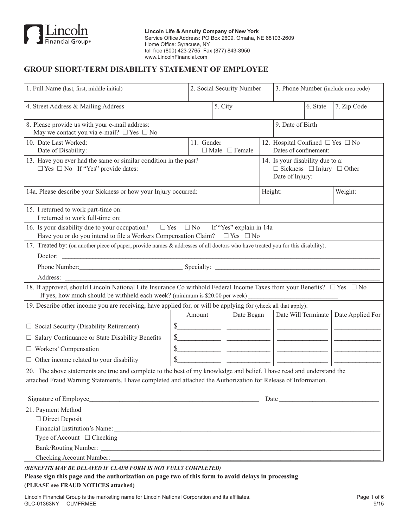

# **GROUP SHORT-TERM DISABILITY STATEMENT OF EMPLOYEE**

| 1. Full Name (last, first, middle initial)                                                                                                                                                                                              |            | 2. Social Security Number                                                                                                                                                                                                                              |                                                                                                   | 3. Phone Number (include area code) |                                        |  |  |
|-----------------------------------------------------------------------------------------------------------------------------------------------------------------------------------------------------------------------------------------|------------|--------------------------------------------------------------------------------------------------------------------------------------------------------------------------------------------------------------------------------------------------------|---------------------------------------------------------------------------------------------------|-------------------------------------|----------------------------------------|--|--|
| 4. Street Address & Mailing Address                                                                                                                                                                                                     |            | 5. City                                                                                                                                                                                                                                                | 6. State                                                                                          |                                     | 7. Zip Code                            |  |  |
| 8. Please provide us with your e-mail address:<br>9. Date of Birth<br>May we contact you via e-mail? $\Box$ Yes $\Box$ No                                                                                                               |            |                                                                                                                                                                                                                                                        |                                                                                                   |                                     |                                        |  |  |
| 10. Date Last Worked:<br>Date of Disability:                                                                                                                                                                                            | 11. Gender | $\Box$ Male $\Box$ Female                                                                                                                                                                                                                              | 12. Hospital Confined $\square$ Yes $\square$ No<br>Dates of confinement:                         |                                     |                                        |  |  |
| 13. Have you ever had the same or similar condition in the past?<br>$\Box$ Yes $\Box$ No If "Yes" provide dates:                                                                                                                        |            |                                                                                                                                                                                                                                                        | 14. Is your disability due to a:<br>$\Box$ Sickness $\Box$ Injury $\Box$ Other<br>Date of Injury: |                                     |                                        |  |  |
| 14a. Please describe your Sickness or how your Injury occurred:                                                                                                                                                                         |            |                                                                                                                                                                                                                                                        | Weight:<br>Height:                                                                                |                                     |                                        |  |  |
| 15. I returned to work part-time on:<br>I returned to work full-time on:                                                                                                                                                                |            |                                                                                                                                                                                                                                                        |                                                                                                   |                                     |                                        |  |  |
| 16. Is your disability due to your occupation? $\square$ Yes $\square$ No<br>If "Yes" explain in 14a<br>Have you or do you intend to file a Workers Compensation Claim? $\square$ Yes $\square$ No                                      |            |                                                                                                                                                                                                                                                        |                                                                                                   |                                     |                                        |  |  |
| 17. Treated by: (on another piece of paper, provide names & addresses of all doctors who have treated you for this disability).<br>Doctor:                                                                                              |            |                                                                                                                                                                                                                                                        |                                                                                                   |                                     |                                        |  |  |
| Phone Number: Specialty: Specialty: 2008. Example 2014                                                                                                                                                                                  |            |                                                                                                                                                                                                                                                        |                                                                                                   |                                     |                                        |  |  |
|                                                                                                                                                                                                                                         |            |                                                                                                                                                                                                                                                        |                                                                                                   |                                     |                                        |  |  |
| 18. If approved, should Lincoln National Life Insurance Co withhold Federal Income Taxes from your Benefits? □ Yes □ No<br>If yes, how much should be withheld each week? (minimum is \$20.00 per week)                                 |            |                                                                                                                                                                                                                                                        |                                                                                                   |                                     |                                        |  |  |
| 19. Describe other income you are receiving, have applied for, or will be applying for (check all that apply):                                                                                                                          |            |                                                                                                                                                                                                                                                        |                                                                                                   |                                     |                                        |  |  |
|                                                                                                                                                                                                                                         | Amount     | Date Began                                                                                                                                                                                                                                             |                                                                                                   |                                     | Date Will Terminate   Date Applied For |  |  |
| $\Box$ Social Security (Disability Retirement)                                                                                                                                                                                          | $s$        | $\begin{array}{c} \begin{array}{c} \begin{array}{c} \begin{array}{c} \end{array} \\ \end{array} \end{array} \end{array} \end{array} \end{array} \end{array} \begin{array}{c} \begin{array}{c} \begin{array}{c} \end{array} \\ \end{array} \end{array}$ |                                                                                                   |                                     |                                        |  |  |
| $\Box$ Salary Continuance or State Disability Benefits                                                                                                                                                                                  | $s$        | $\overline{\phantom{a}}$ . The contract of the state $\overline{\phantom{a}}$                                                                                                                                                                          |                                                                                                   |                                     |                                        |  |  |
| $\Box$ Workers' Compensation                                                                                                                                                                                                            | $s$        |                                                                                                                                                                                                                                                        |                                                                                                   |                                     |                                        |  |  |
| $\Box$ Other income related to your disability                                                                                                                                                                                          | \$         |                                                                                                                                                                                                                                                        |                                                                                                   |                                     |                                        |  |  |
| 20. The above statements are true and complete to the best of my knowledge and belief. I have read and understand the<br>attached Fraud Warning Statements. I have completed and attached the Authorization for Release of Information. |            |                                                                                                                                                                                                                                                        |                                                                                                   |                                     |                                        |  |  |
| Signature of Employee                                                                                                                                                                                                                   |            |                                                                                                                                                                                                                                                        |                                                                                                   |                                     |                                        |  |  |
| 21. Payment Method                                                                                                                                                                                                                      |            |                                                                                                                                                                                                                                                        |                                                                                                   |                                     |                                        |  |  |
| $\Box$ Direct Deposit                                                                                                                                                                                                                   |            |                                                                                                                                                                                                                                                        |                                                                                                   |                                     |                                        |  |  |
| Financial Institution's Name: 1988 and 1989 and 1989 and 1989 and 1989 and 1989 and 1989 and 1989 and 1989 and 1989 and 1989 and 1989 and 1989 and 1989 and 1989 and 1989 and 1989 and 1989 and 1989 and 1989 and 1989 and 198          |            |                                                                                                                                                                                                                                                        |                                                                                                   |                                     |                                        |  |  |
| Type of Account $\Box$ Checking                                                                                                                                                                                                         |            |                                                                                                                                                                                                                                                        |                                                                                                   |                                     |                                        |  |  |
|                                                                                                                                                                                                                                         |            |                                                                                                                                                                                                                                                        |                                                                                                   |                                     |                                        |  |  |
| Checking Account Number: Law Checking Account Number:                                                                                                                                                                                   |            |                                                                                                                                                                                                                                                        |                                                                                                   |                                     |                                        |  |  |

*(BENEFITS MAY BE DELAYED IF CLAIM FORM IS NOT FULLY COMPLETED)*

**Please sign this page and the authorization on page two of this form to avoid delays in processing (PLEASE see FRAUD NOTICES attached)**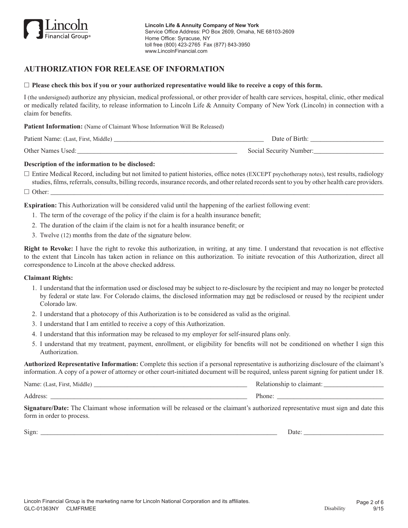

# **AUTHORIZATION FOR RELEASE OF INFORMATION**

#### $\Box$  **Please check this box if you or your authorized representative would like to receive a copy of this form.**

I (the undersigned) authorize any physician, medical professional, or other provider of health care services, hospital, clinic, other medical or medically related facility, to release information to Lincoln Life & Annuity Company of New York (Lincoln) in connection with a claim for benefits.

**Patient Information:** (Name of Claimant Whose Information Will Be Released)

| Patient Name: (Last, First, Middle) | Date of Birth:          |
|-------------------------------------|-------------------------|
| Other Names Used:                   | Social Security Number: |

### **Description of the information to be disclosed:**

 $\Box$  Entire Medical Record, including but not limited to patient histories, office notes (EXCEPT psychotherapy notes), test results, radiology studies, films, referrals, consults, billing records, insurance records, and other related records sent to you by other health care providers.

h Other: \_\_\_\_\_\_\_\_\_\_\_\_\_\_\_\_\_\_\_\_\_\_\_\_\_\_\_\_\_\_\_\_\_\_\_\_\_\_\_\_\_\_\_\_\_\_\_\_\_\_\_\_\_\_\_\_\_\_\_\_\_\_\_\_\_\_\_\_\_\_\_\_\_\_\_\_\_\_\_\_\_\_\_\_\_\_\_\_\_\_\_\_\_\_\_\_\_\_\_\_

**Expiration:** This Authorization will be considered valid until the happening of the earliest following event:

- 1. The term of the coverage of the policy if the claim is for a health insurance benefit;
- 2. The duration of the claim if the claim is not for a health insurance benefit; or
- 3. Twelve (12) months from the date of the signature below.

**Right to Revoke:** I have the right to revoke this authorization, in writing, at any time. I understand that revocation is not effective to the extent that Lincoln has taken action in reliance on this authorization. To initiate revocation of this Authorization, direct all correspondence to Lincoln at the above checked address.

#### **Claimant Rights:**

- 1. I understand that the information used or disclosed may be subject to re-disclosure by the recipient and may no longer be protected by federal or state law. For Colorado claims, the disclosed information may not be redisclosed or reused by the recipient under Colorado law.
- 2. I understand that a photocopy of this Authorization is to be considered as valid as the original.
- 3. I understand that I am entitled to receive a copy of this Authorization.
- 4. I understand that this information may be released to my employer for self-insured plans only.
- 5. I understand that my treatment, payment, enrollment, or eligibility for benefits will not be conditioned on whether I sign this Authorization.

**Authorized Representative Information:** Complete this section if a personal representative is authorizing disclosure of the claimant's information. A copy of a power of attorney or other court-initiated document will be required, unless parent signing for patient under 18.

Name: (Last, First, Middle) \_\_\_\_\_\_\_\_\_\_\_\_\_\_\_\_\_\_\_\_\_\_\_\_\_\_\_\_\_\_\_\_\_\_\_\_\_\_\_\_\_\_\_\_\_\_ Relationship to claimant: \_\_\_\_\_\_\_\_\_\_\_\_\_\_\_\_\_\_ Address: \_\_\_\_\_\_\_\_\_\_\_\_\_\_\_\_\_\_\_\_\_\_\_\_\_\_\_\_\_\_\_\_\_\_\_\_\_\_\_\_\_\_\_\_\_\_\_\_\_\_\_\_\_\_\_\_\_\_\_ Phone: \_\_\_\_\_\_\_\_\_\_\_\_\_\_\_\_\_\_\_\_\_\_\_\_\_\_\_\_\_\_\_\_

**Signature/Date:** The Claimant whose information will be released or the claimant's authorized representative must sign and date this form in order to process.

Sign: \_\_\_\_\_\_\_\_\_\_\_\_\_\_\_\_\_\_\_\_\_\_\_\_\_\_\_\_\_\_\_\_\_\_\_\_\_\_\_\_\_\_\_\_\_\_\_\_\_\_\_\_\_\_\_\_\_\_\_\_\_\_\_\_\_\_\_\_\_\_\_ Date: \_\_\_\_\_\_\_\_\_\_\_\_\_\_\_\_\_\_\_\_\_\_\_\_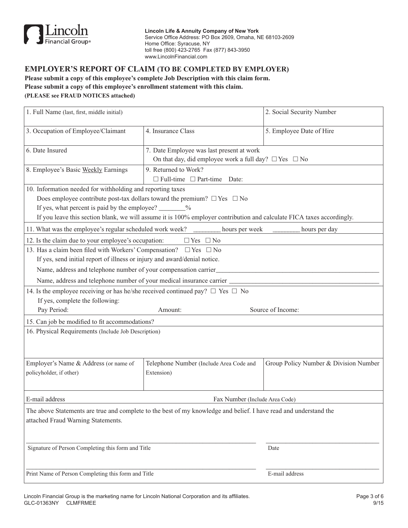

**Lincoln Life & Annuity Company of New York** Service Office Address: PO Box 2609, Omaha, NE 68103-2609 Home Office: Syracuse, NY toll free (800) 423-2765 Fax (877) 843-3950 www.LincolnFinancial.com

## **EMPLOYER'S REPORT OF CLAIM (TO BE COMPLETED BY EMPLOYER)**

**Please submit a copy of this employee's complete Job Description with this claim form. Please submit a copy of this employee's enrollment statement with this claim. (PLEASE see FRAUD NOTICES attached)**

| 1. Full Name (last, first, middle initial)                                                                        |                                                                                                                        | 2. Social Security Number             |  |  |  |  |  |
|-------------------------------------------------------------------------------------------------------------------|------------------------------------------------------------------------------------------------------------------------|---------------------------------------|--|--|--|--|--|
| 3. Occupation of Employee/Claimant                                                                                | 4. Insurance Class                                                                                                     | 5. Employee Date of Hire              |  |  |  |  |  |
| 6. Date Insured                                                                                                   | 7. Date Employee was last present at work<br>On that day, did employee work a full day? $\Box$ Yes $\Box$ No           |                                       |  |  |  |  |  |
| 8. Employee's Basic Weekly Earnings                                                                               | 9. Returned to Work?<br>$\Box$ Full-time $\Box$ Part-time Date:                                                        |                                       |  |  |  |  |  |
| 10. Information needed for withholding and reporting taxes                                                        |                                                                                                                        |                                       |  |  |  |  |  |
|                                                                                                                   | Does employee contribute post-tax dollars toward the premium? $\Box$ Yes $\Box$ No                                     |                                       |  |  |  |  |  |
| If yes, what percent is paid by the employee? _______%                                                            |                                                                                                                        |                                       |  |  |  |  |  |
|                                                                                                                   | If you leave this section blank, we will assume it is 100% employer contribution and calculate FICA taxes accordingly. |                                       |  |  |  |  |  |
| 11. What was the employee's regular scheduled work week?                                                          | hours per week                                                                                                         | hours per day                         |  |  |  |  |  |
| 12. Is the claim due to your employee's occupation:                                                               | $\Box$ Yes $\Box$ No                                                                                                   |                                       |  |  |  |  |  |
| 13. Has a claim been filed with Workers' Compensation? $\square$ Yes $\square$ No                                 |                                                                                                                        |                                       |  |  |  |  |  |
| If yes, send initial report of illness or injury and award/denial notice.                                         |                                                                                                                        |                                       |  |  |  |  |  |
| Name, address and telephone number of your compensation carrier                                                   |                                                                                                                        |                                       |  |  |  |  |  |
| Name, address and telephone number of your medical insurance carrier                                              |                                                                                                                        |                                       |  |  |  |  |  |
| 14. Is the employee receiving or has he/she received continued pay? $\Box$ Yes $\Box$ No                          |                                                                                                                        |                                       |  |  |  |  |  |
| If yes, complete the following:                                                                                   |                                                                                                                        |                                       |  |  |  |  |  |
| Pay Period:                                                                                                       | Amount:                                                                                                                | Source of Income:                     |  |  |  |  |  |
| 15. Can job be modified to fit accommodations?                                                                    |                                                                                                                        |                                       |  |  |  |  |  |
| 16. Physical Requirements (Include Job Description)                                                               |                                                                                                                        |                                       |  |  |  |  |  |
|                                                                                                                   |                                                                                                                        |                                       |  |  |  |  |  |
| Employer's Name & Address (or name of                                                                             | Telephone Number (Include Area Code and                                                                                | Group Policy Number & Division Number |  |  |  |  |  |
| policyholder, if other)                                                                                           | Extension)                                                                                                             |                                       |  |  |  |  |  |
|                                                                                                                   |                                                                                                                        |                                       |  |  |  |  |  |
| E-mail address                                                                                                    | Fax Number (Include Area Code)                                                                                         |                                       |  |  |  |  |  |
| The above Statements are true and complete to the best of my knowledge and belief. I have read and understand the |                                                                                                                        |                                       |  |  |  |  |  |
| attached Fraud Warning Statements.                                                                                |                                                                                                                        |                                       |  |  |  |  |  |
|                                                                                                                   |                                                                                                                        |                                       |  |  |  |  |  |
|                                                                                                                   |                                                                                                                        |                                       |  |  |  |  |  |
| Signature of Person Completing this form and Title                                                                |                                                                                                                        | Date                                  |  |  |  |  |  |
|                                                                                                                   |                                                                                                                        |                                       |  |  |  |  |  |
|                                                                                                                   |                                                                                                                        |                                       |  |  |  |  |  |
| Print Name of Person Completing this form and Title                                                               |                                                                                                                        | E-mail address                        |  |  |  |  |  |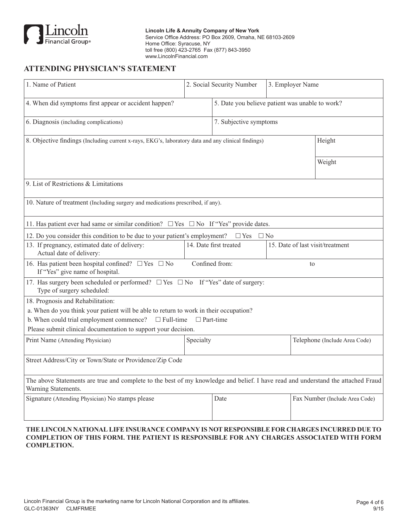

**Lincoln Life & Annuity Company of New York** Service Office Address: PO Box 2609, Omaha, NE 68103-2609 Home Office: Syracuse, NY toll free (800) 423-2765 Fax (877) 843-3950 www.LincolnFinancial.com

## **ATTENDING PHYSICIAN'S STATEMENT**

| 1. Name of Patient                                                                                                                                      |                                                 | 2. Social Security Number |                                  | 3. Employer Name               |  |  |  |  |
|---------------------------------------------------------------------------------------------------------------------------------------------------------|-------------------------------------------------|---------------------------|----------------------------------|--------------------------------|--|--|--|--|
| 4. When did symptoms first appear or accident happen?                                                                                                   | 5. Date you believe patient was unable to work? |                           |                                  |                                |  |  |  |  |
| 7. Subjective symptoms<br>6. Diagnosis (including complications)                                                                                        |                                                 |                           |                                  |                                |  |  |  |  |
| 8. Objective findings (Including current x-rays, EKG's, laboratory data and any clinical findings)                                                      |                                                 |                           |                                  | Height                         |  |  |  |  |
|                                                                                                                                                         |                                                 |                           |                                  | Weight                         |  |  |  |  |
| 9. List of Restrictions & Limitations                                                                                                                   |                                                 |                           |                                  |                                |  |  |  |  |
| 10. Nature of treatment (Including surgery and medications prescribed, if any).                                                                         |                                                 |                           |                                  |                                |  |  |  |  |
| 11. Has patient ever had same or similar condition? $\Box$ Yes $\Box$ No If "Yes" provide dates.                                                        |                                                 |                           |                                  |                                |  |  |  |  |
| 12. Do you consider this condition to be due to your patient's employment?                                                                              |                                                 | $\Box$ Yes<br>$\Box$ No   |                                  |                                |  |  |  |  |
| 13. If pregnancy, estimated date of delivery:<br>Actual date of delivery:                                                                               |                                                 | 14. Date first treated    | 15. Date of last visit/treatment |                                |  |  |  |  |
| 16. Has patient been hospital confined? $\Box$ Yes $\Box$ No<br>Confined from:<br>to<br>If "Yes" give name of hospital.                                 |                                                 |                           |                                  |                                |  |  |  |  |
| 17. Has surgery been scheduled or performed? $\Box$ Yes $\Box$ No If "Yes" date of surgery:<br>Type of surgery scheduled:                               |                                                 |                           |                                  |                                |  |  |  |  |
| 18. Prognosis and Rehabilitation:                                                                                                                       |                                                 |                           |                                  |                                |  |  |  |  |
| a. When do you think your patient will be able to return to work in their occupation?                                                                   |                                                 |                           |                                  |                                |  |  |  |  |
| b. When could trial employment commence?<br>$\Box$ Full-time                                                                                            | $\Box$ Part-time                                |                           |                                  |                                |  |  |  |  |
| Please submit clinical documentation to support your decision.                                                                                          |                                                 |                           |                                  |                                |  |  |  |  |
| Print Name (Attending Physician)                                                                                                                        | Specialty                                       |                           | Telephone (Include Area Code)    |                                |  |  |  |  |
| Street Address/City or Town/State or Providence/Zip Code                                                                                                |                                                 |                           |                                  |                                |  |  |  |  |
| The above Statements are true and complete to the best of my knowledge and belief. I have read and understand the attached Fraud<br>Warning Statements. |                                                 |                           |                                  |                                |  |  |  |  |
| Signature (Attending Physician) No stamps please                                                                                                        |                                                 | Date                      |                                  | Fax Number (Include Area Code) |  |  |  |  |

### **THE LINCOLN NATIONAL LIFE INSURANCE COMPANY IS NOT RESPONSIBLE FOR CHARGES INCURRED DUE TO COMPLETION OF THIS FORM. THE PATIENT IS RESPONSIBLE FOR ANY CHARGES ASSOCIATED WITH FORM COMPLETION.**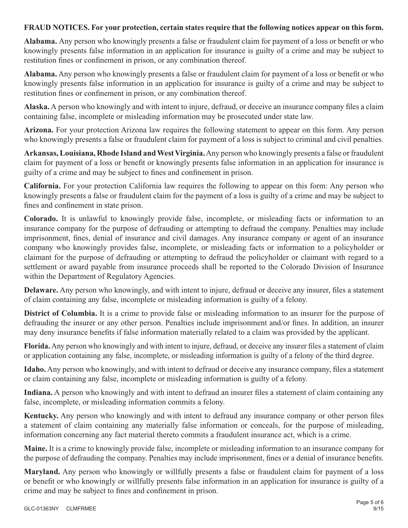## **FRAUD NOTICES. For your protection, certain states require that the following notices appear on this form.**

**Alabama.** Any person who knowingly presents a false or fraudulent claim for payment of a loss or benefit or who knowingly presents false information in an application for insurance is guilty of a crime and may be subject to restitution fines or confinement in prison, or any combination thereof.

**Alabama.** Any person who knowingly presents a false or fraudulent claim for payment of a loss or benefit or who knowingly presents false information in an application for insurance is guilty of a crime and may be subject to restitution fines or confinement in prison, or any combination thereof.

**Alaska.** A person who knowingly and with intent to injure, defraud, or deceive an insurance company files a claim containing false, incomplete or misleading information may be prosecuted under state law.

**Arizona.** For your protection Arizona law requires the following statement to appear on this form. Any person who knowingly presents a false or fraudulent claim for payment of a loss is subject to criminal and civil penalties.

**Arkansas, Louisiana, Rhode Island and West Virginia.** Any person who knowingly presents a false or fraudulent claim for payment of a loss or benefit or knowingly presents false information in an application for insurance is guilty of a crime and may be subject to fines and confinement in prison.

**California.** For your protection California law requires the following to appear on this form: Any person who knowingly presents a false or fraudulent claim for the payment of a loss is guilty of a crime and may be subject to fines and confinement in state prison.

**Colorado.** It is unlawful to knowingly provide false, incomplete, or misleading facts or information to an insurance company for the purpose of defrauding or attempting to defraud the company. Penalties may include imprisonment, fines, denial of insurance and civil damages. Any insurance company or agent of an insurance company who knowingly provides false, incomplete, or misleading facts or information to a policyholder or claimant for the purpose of defrauding or attempting to defraud the policyholder or claimant with regard to a settlement or award payable from insurance proceeds shall be reported to the Colorado Division of Insurance within the Department of Regulatory Agencies.

**Delaware.** Any person who knowingly, and with intent to injure, defraud or deceive any insurer, files a statement of claim containing any false, incomplete or misleading information is guilty of a felony.

**District of Columbia.** It is a crime to provide false or misleading information to an insurer for the purpose of defrauding the insurer or any other person. Penalties include imprisonment and/or fines. In addition, an insurer may deny insurance benefits if false information materially related to a claim was provided by the applicant.

**Florida.** Any person who knowingly and with intent to injure, defraud, or deceive any insurer files a statement of claim or application containing any false, incomplete, or misleading information is guilty of a felony of the third degree.

**Idaho.** Any person who knowingly, and with intent to defraud or deceive any insurance company, files a statement or claim containing any false, incomplete or misleading information is guilty of a felony.

**Indiana.** A person who knowingly and with intent to defraud an insurer files a statement of claim containing any false, incomplete, or misleading information commits a felony.

**Kentucky.** Any person who knowingly and with intent to defraud any insurance company or other person files a statement of claim containing any materially false information or conceals, for the purpose of misleading, information concerning any fact material thereto commits a fraudulent insurance act, which is a crime.

**Maine.** It is a crime to knowingly provide false, incomplete or misleading information to an insurance company for the purpose of defrauding the company. Penalties may include imprisonment, fines or a denial of insurance benefits.

**Maryland.** Any person who knowingly or willfully presents a false or fraudulent claim for payment of a loss or benefit or who knowingly or willfully presents false information in an application for insurance is guilty of a crime and may be subject to fines and confinement in prison.